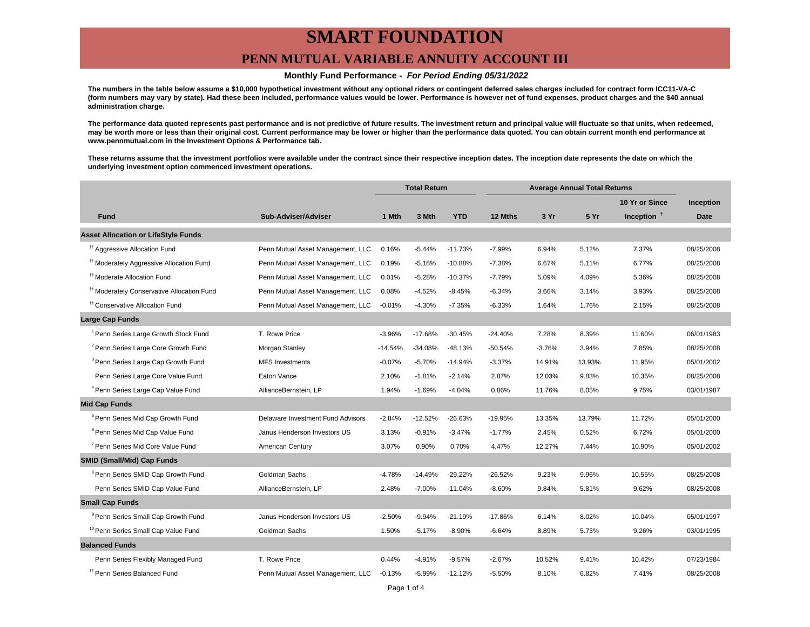### **PENN MUTUAL VARIABLE ANNUITY ACCOUNT III**

#### **Monthly Fund Performance - For Period Ending 05/31/2022**

**The numbers in the table below assume a \$10,000 hypothetical investment without any optional riders or contingent deferred sales charges included for contract form ICC11-VA-C (form numbers may vary by state). Had these been included, performance values would be lower. Performance is however net of fund expenses, product charges and the \$40 annual administration charge.**

**The performance data quoted represents past performance and is not predictive of future results. The investment return and principal value will fluctuate so that units, when redeemed, may be worth more or less than their original cost. Current performance may be lower or higher than the performance data quoted. You can obtain current month end performance at www.pennmutual.com in the Investment Options & Performance tab.**

**These returns assume that the investment portfolios were available under the contract since their respective inception dates. The inception date represents the date on which the underlying investment option commenced investment operations.**

|                                                       |                                   | <b>Total Return</b> |           | <b>Average Annual Total Returns</b> |           |          |        |                |             |
|-------------------------------------------------------|-----------------------------------|---------------------|-----------|-------------------------------------|-----------|----------|--------|----------------|-------------|
|                                                       |                                   |                     |           |                                     |           |          |        | 10 Yr or Since | Inception   |
| <b>Fund</b>                                           | Sub-Adviser/Adviser               | 1 Mth               | 3 Mth     | <b>YTD</b>                          | 12 Mths   | 3 Yr     | 5 Yr   | Inception $†$  | <b>Date</b> |
| <b>Asset Allocation or LifeStyle Funds</b>            |                                   |                     |           |                                     |           |          |        |                |             |
| <sup>11</sup> Aggressive Allocation Fund              | Penn Mutual Asset Management, LLC | 0.16%               | $-5.44%$  | $-11.73%$                           | $-7.99%$  | 6.94%    | 5.12%  | 7.37%          | 08/25/2008  |
| <sup>#†</sup> Moderately Aggressive Allocation Fund   | Penn Mutual Asset Management, LLC | 0.19%               | $-5.18%$  | $-10.88%$                           | $-7.38%$  | 6.67%    | 5.11%  | 6.77%          | 08/25/2008  |
| <sup>††</sup> Moderate Allocation Fund                | Penn Mutual Asset Management, LLC | 0.01%               | $-5.28%$  | $-10.37%$                           | $-7.79%$  | 5.09%    | 4.09%  | 5.36%          | 08/25/2008  |
| <sup>#†</sup> Moderately Conservative Allocation Fund | Penn Mutual Asset Management, LLC | 0.08%               | $-4.52%$  | $-8.45%$                            | $-6.34%$  | 3.66%    | 3.14%  | 3.93%          | 08/25/2008  |
| <sup>11</sup> Conservative Allocation Fund            | Penn Mutual Asset Management, LLC | $-0.01%$            | $-4.30%$  | $-7.35%$                            | $-6.33%$  | 1.64%    | 1.76%  | 2.15%          | 08/25/2008  |
| Large Cap Funds                                       |                                   |                     |           |                                     |           |          |        |                |             |
| <sup>1</sup> Penn Series Large Growth Stock Fund      | T. Rowe Price                     | $-3.96%$            | $-17.68%$ | $-30.45%$                           | $-24.40%$ | 7.28%    | 8.39%  | 11.60%         | 06/01/1983  |
| <sup>2</sup> Penn Series Large Core Growth Fund       | Morgan Stanley                    | $-14.54%$           | $-34.08%$ | $-48.13%$                           | $-50.54%$ | $-3.76%$ | 3.94%  | 7.85%          | 08/25/2008  |
| <sup>3</sup> Penn Series Large Cap Growth Fund        | <b>MFS Investments</b>            | $-0.07%$            | $-5.70%$  | $-14.94%$                           | $-3.37%$  | 14.91%   | 13.93% | 11.95%         | 05/01/2002  |
| Penn Series Large Core Value Fund                     | Eaton Vance                       | 2.10%               | $-1.81%$  | $-2.14%$                            | 2.87%     | 12.03%   | 9.83%  | 10.35%         | 08/25/2008  |
| <sup>4</sup> Penn Series Large Cap Value Fund         | AllianceBernstein, LP             | 1.94%               | $-1.69%$  | $-4.04%$                            | 0.86%     | 11.76%   | 8.05%  | 9.75%          | 03/01/1987  |
| <b>Mid Cap Funds</b>                                  |                                   |                     |           |                                     |           |          |        |                |             |
| <sup>5</sup> Penn Series Mid Cap Growth Fund          | Delaware Investment Fund Advisors | $-2.84%$            | $-12.52%$ | $-26.63%$                           | -19.95%   | 13.35%   | 13.79% | 11.72%         | 05/01/2000  |
| <sup>6</sup> Penn Series Mid Cap Value Fund           | Janus Henderson Investors US      | 3.13%               | $-0.91%$  | $-3.47%$                            | $-1.77%$  | 2.45%    | 0.52%  | 6.72%          | 05/01/2000  |
| <sup>7</sup> Penn Series Mid Core Value Fund          | American Century                  | 3.07%               | 0.90%     | 0.70%                               | 4.47%     | 12.27%   | 7.44%  | 10.90%         | 05/01/2002  |
| <b>SMID (Small/Mid) Cap Funds</b>                     |                                   |                     |           |                                     |           |          |        |                |             |
| <sup>8</sup> Penn Series SMID Cap Growth Fund         | Goldman Sachs                     | $-4.78%$            | $-14.49%$ | $-29.22%$                           | $-26.52%$ | 9.23%    | 9.96%  | 10.55%         | 08/25/2008  |
| Penn Series SMID Cap Value Fund                       | AllianceBernstein, LP             | 2.48%               | $-7.00%$  | $-11.04%$                           | $-8.60%$  | 9.84%    | 5.81%  | 9.62%          | 08/25/2008  |
| <b>Small Cap Funds</b>                                |                                   |                     |           |                                     |           |          |        |                |             |
| <sup>9</sup> Penn Series Small Cap Growth Fund        | Janus Henderson Investors US      | $-2.50%$            | $-9.94%$  | $-21.19%$                           | $-17.86%$ | 6.14%    | 8.02%  | 10.04%         | 05/01/1997  |
| <sup>10</sup> Penn Series Small Cap Value Fund        | Goldman Sachs                     | 1.50%               | $-5.17%$  | $-8.90%$                            | $-6.64%$  | 8.89%    | 5.73%  | 9.26%          | 03/01/1995  |
| <b>Balanced Funds</b>                                 |                                   |                     |           |                                     |           |          |        |                |             |
| Penn Series Flexibly Managed Fund                     | T. Rowe Price                     | 0.44%               | $-4.91%$  | $-9.57%$                            | $-2.67%$  | 10.52%   | 9.41%  | 10.42%         | 07/23/1984  |
| <sup>11</sup> Penn Series Balanced Fund               | Penn Mutual Asset Management, LLC | $-0.13%$            | $-5.99%$  | $-12.12%$                           | $-5.50%$  | 8.10%    | 6.82%  | 7.41%          | 08/25/2008  |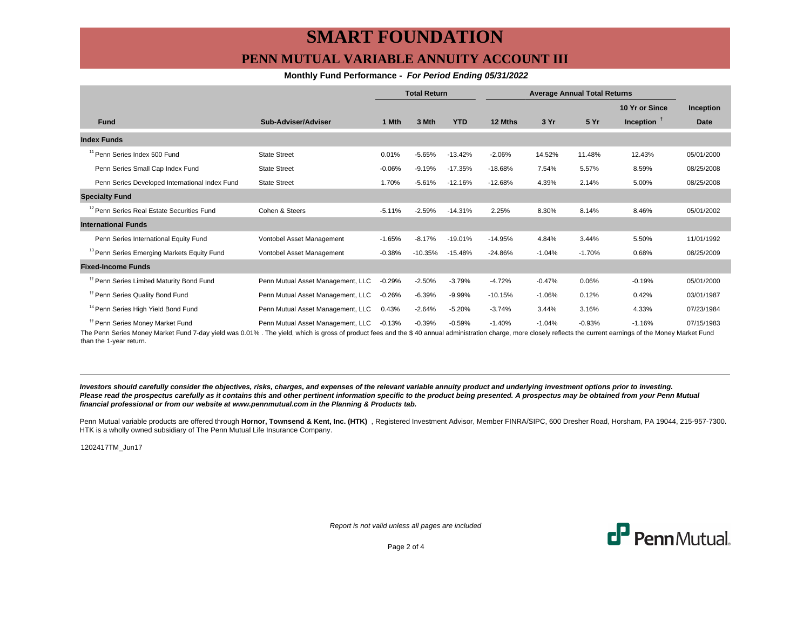## **PENN MUTUAL VARIABLE ANNUITY ACCOUNT III**

### **Monthly Fund Performance - For Period Ending 05/31/2022**

|                                                        |                                   | <b>Total Return</b> |           | <b>Average Annual Total Returns</b> |           |          |          |                |                  |
|--------------------------------------------------------|-----------------------------------|---------------------|-----------|-------------------------------------|-----------|----------|----------|----------------|------------------|
|                                                        |                                   |                     |           |                                     |           |          |          | 10 Yr or Since | <b>Inception</b> |
| <b>Fund</b>                                            | Sub-Adviser/Adviser               | 1 Mth               | 3 Mth     | <b>YTD</b>                          | 12 Mths   | 3 Yr     | 5 Yr     | Inception $T$  | <b>Date</b>      |
| <b>Index Funds</b>                                     |                                   |                     |           |                                     |           |          |          |                |                  |
| <sup>11</sup> Penn Series Index 500 Fund               | <b>State Street</b>               | 0.01%               | $-5.65%$  | $-13.42%$                           | $-2.06%$  | 14.52%   | 11.48%   | 12.43%         | 05/01/2000       |
| Penn Series Small Cap Index Fund                       | <b>State Street</b>               | $-0.06%$            | $-9.19%$  | $-17.35%$                           | $-18.68%$ | 7.54%    | 5.57%    | 8.59%          | 08/25/2008       |
| Penn Series Developed International Index Fund         | <b>State Street</b>               | 1.70%               | $-5.61%$  | $-12.16%$                           | $-12.68%$ | 4.39%    | 2.14%    | 5.00%          | 08/25/2008       |
| <b>Specialty Fund</b>                                  |                                   |                     |           |                                     |           |          |          |                |                  |
| <sup>12</sup> Penn Series Real Estate Securities Fund  | Cohen & Steers                    | $-5.11%$            | $-2.59%$  | $-14.31%$                           | 2.25%     | 8.30%    | 8.14%    | 8.46%          | 05/01/2002       |
| <b>International Funds</b>                             |                                   |                     |           |                                     |           |          |          |                |                  |
| Penn Series International Equity Fund                  | Vontobel Asset Management         | $-1.65%$            | $-8.17%$  | $-19.01%$                           | $-14.95%$ | 4.84%    | 3.44%    | 5.50%          | 11/01/1992       |
| <sup>13</sup> Penn Series Emerging Markets Equity Fund | Vontobel Asset Management         | $-0.38%$            | $-10.35%$ | $-15.48%$                           | $-24.86%$ | $-1.04%$ | $-1.70%$ | 0.68%          | 08/25/2009       |
| <b>Fixed-Income Funds</b>                              |                                   |                     |           |                                     |           |          |          |                |                  |
| <sup>11</sup> Penn Series Limited Maturity Bond Fund   | Penn Mutual Asset Management, LLC | $-0.29%$            | $-2.50%$  | $-3.79%$                            | $-4.72%$  | $-0.47%$ | 0.06%    | $-0.19%$       | 05/01/2000       |
| <sup>11</sup> Penn Series Quality Bond Fund            | Penn Mutual Asset Management, LLC | $-0.26%$            | $-6.39%$  | $-9.99%$                            | $-10.15%$ | $-1.06%$ | 0.12%    | 0.42%          | 03/01/1987       |
| <sup>14</sup> Penn Series High Yield Bond Fund         | Penn Mutual Asset Management, LLC | 0.43%               | $-2.64%$  | $-5.20%$                            | $-3.74%$  | 3.44%    | 3.16%    | 4.33%          | 07/23/1984       |
| <sup>11</sup> Penn Series Money Market Fund            | Penn Mutual Asset Management, LLC | $-0.13%$            | $-0.39%$  | $-0.59%$                            | $-1.40%$  | $-1.04%$ | $-0.93%$ | $-1.16%$       | 07/15/1983       |

The Penn Series Money Market Fund 7-day yield was 0.01% . The yield, which is gross of product fees and the \$ 40 annual administration charge, more closely reflects the current earnings of the Money Market Fund than the 1-year return.

**Investors should carefully consider the objectives, risks, charges, and expenses of the relevant variable annuity product and underlying investment options prior to investing.** Please read the prospectus carefully as it contains this and other pertinent information specific to the product being presented. A prospectus may be obtained from your Penn Mutual **financial professional or from our website at www.pennmutual.com in the Planning & Products tab.**

Penn Mutual variable products are offered through Hornor, Townsend & Kent, Inc. (HTK), Registered Investment Advisor, Member FINRA/SIPC, 600 Dresher Road, Horsham, PA 19044, 215-957-7300. HTK is a wholly owned subsidiary of The Penn Mutual Life Insurance Company.

1202417TM\_Jun17

Report is not valid unless all pages are included



Page 2 of 4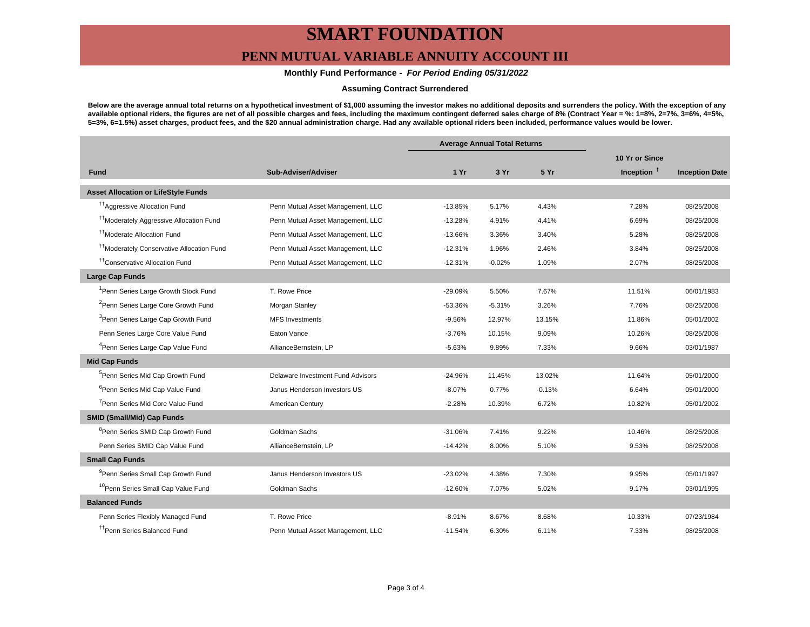## **PENN MUTUAL VARIABLE ANNUITY ACCOUNT III**

### **Monthly Fund Performance - For Period Ending 05/31/2022**

#### **Assuming Contract Surrendered**

**Below are the average annual total returns on a hypothetical investment of \$1,000 assuming the investor makes no additional deposits and surrenders the policy. With the exception of any available optional riders, the figures are net of all possible charges and fees, including the maximum contingent deferred sales charge of 8% (Contract Year = %: 1=8%, 2=7%, 3=6%, 4=5%, 5=3%, 6=1.5%) asset charges, product fees, and the \$20 annual administration charge. Had any available optional riders been included, performance values would be lower.**

|                                                       |                                   | <b>Average Annual Total Returns</b> |          |          |                |                       |
|-------------------------------------------------------|-----------------------------------|-------------------------------------|----------|----------|----------------|-----------------------|
|                                                       |                                   |                                     |          |          | 10 Yr or Since |                       |
| <b>Fund</b>                                           | Sub-Adviser/Adviser               | 1Yr                                 | 3 Yr     | 5 Yr     | Inception $†$  | <b>Inception Date</b> |
| <b>Asset Allocation or LifeStyle Funds</b>            |                                   |                                     |          |          |                |                       |
| <sup>17</sup> Aggressive Allocation Fund              | Penn Mutual Asset Management, LLC | $-13.85%$                           | 5.17%    | 4.43%    | 7.28%          | 08/25/2008            |
| <sup>††</sup> Moderately Aggressive Allocation Fund   | Penn Mutual Asset Management, LLC | $-13.28%$                           | 4.91%    | 4.41%    | 6.69%          | 08/25/2008            |
| <sup>11</sup> Moderate Allocation Fund                | Penn Mutual Asset Management, LLC | $-13.66%$                           | 3.36%    | 3.40%    | 5.28%          | 08/25/2008            |
| <sup>11</sup> Moderately Conservative Allocation Fund | Penn Mutual Asset Management, LLC | $-12.31%$                           | 1.96%    | 2.46%    | 3.84%          | 08/25/2008            |
| <sup>tt</sup> Conservative Allocation Fund            | Penn Mutual Asset Management, LLC | $-12.31%$                           | $-0.02%$ | 1.09%    | 2.07%          | 08/25/2008            |
| <b>Large Cap Funds</b>                                |                                   |                                     |          |          |                |                       |
| <sup>1</sup> Penn Series Large Growth Stock Fund      | T. Rowe Price                     | $-29.09%$                           | 5.50%    | 7.67%    | 11.51%         | 06/01/1983            |
| <sup>2</sup> Penn Series Large Core Growth Fund       | Morgan Stanley                    | $-53.36%$                           | $-5.31%$ | 3.26%    | 7.76%          | 08/25/2008            |
| <sup>3</sup> Penn Series Large Cap Growth Fund        | <b>MFS Investments</b>            | $-9.56%$                            | 12.97%   | 13.15%   | 11.86%         | 05/01/2002            |
| Penn Series Large Core Value Fund                     | Eaton Vance                       | $-3.76%$                            | 10.15%   | 9.09%    | 10.26%         | 08/25/2008            |
| <sup>4</sup> Penn Series Large Cap Value Fund         | AllianceBernstein, LP             | $-5.63%$                            | 9.89%    | 7.33%    | 9.66%          | 03/01/1987            |
| <b>Mid Cap Funds</b>                                  |                                   |                                     |          |          |                |                       |
| <sup>5</sup> Penn Series Mid Cap Growth Fund          | Delaware Investment Fund Advisors | $-24.96%$                           | 11.45%   | 13.02%   | 11.64%         | 05/01/2000            |
| <sup>6</sup> Penn Series Mid Cap Value Fund           | Janus Henderson Investors US      | $-8.07%$                            | 0.77%    | $-0.13%$ | 6.64%          | 05/01/2000            |
| <sup>7</sup> Penn Series Mid Core Value Fund          | American Century                  | $-2.28%$                            | 10.39%   | 6.72%    | 10.82%         | 05/01/2002            |
| <b>SMID (Small/Mid) Cap Funds</b>                     |                                   |                                     |          |          |                |                       |
| <sup>8</sup> Penn Series SMID Cap Growth Fund         | Goldman Sachs                     | $-31.06%$                           | 7.41%    | 9.22%    | 10.46%         | 08/25/2008            |
| Penn Series SMID Cap Value Fund                       | AllianceBernstein, LP             | $-14.42%$                           | 8.00%    | 5.10%    | 9.53%          | 08/25/2008            |
| <b>Small Cap Funds</b>                                |                                   |                                     |          |          |                |                       |
| <sup>9</sup> Penn Series Small Cap Growth Fund        | Janus Henderson Investors US      | $-23.02%$                           | 4.38%    | 7.30%    | 9.95%          | 05/01/1997            |
| <sup>10</sup> Penn Series Small Cap Value Fund        | Goldman Sachs                     | $-12.60%$                           | 7.07%    | 5.02%    | 9.17%          | 03/01/1995            |
| <b>Balanced Funds</b>                                 |                                   |                                     |          |          |                |                       |
| Penn Series Flexibly Managed Fund                     | T. Rowe Price                     | $-8.91%$                            | 8.67%    | 8.68%    | 10.33%         | 07/23/1984            |
| <sup>11</sup> Penn Series Balanced Fund               | Penn Mutual Asset Management, LLC | $-11.54%$                           | 6.30%    | 6.11%    | 7.33%          | 08/25/2008            |